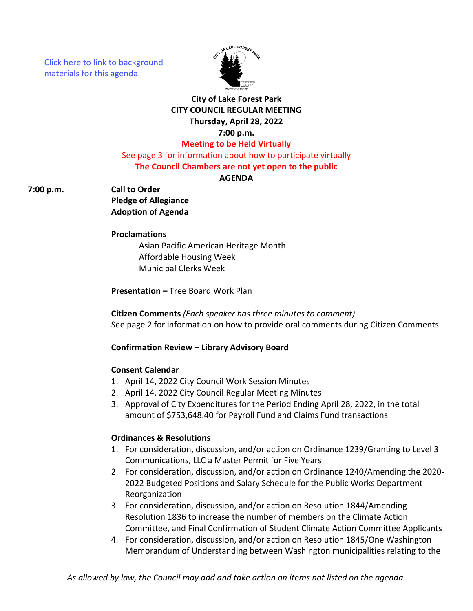[Click here to link to background](https://media.avcaptureall.cloud/meeting/56030def-1586-4dae-97da-7b2c88f762cb) materials for this agenda.



# **City of Lake Forest Park CITY COUNCIL REGULAR MEETING Thursday, April 28, 2022 7:00 p.m.**

# **Meeting to be Held Virtually**

See page 3 for information about how to participate virtually **The Council Chambers are not yet open to the public**

### **AGENDA**

**7:00 p.m. Call to Order**

**Pledge of Allegiance Adoption of Agenda**

#### **Proclamations**

Asian Pacific American Heritage Month Affordable Housing Week Municipal Clerks Week

**Presentation –** Tree Board Work Plan

**Citizen Comments** *(Each speaker has three minutes to comment)* See page 2 for information on how to provide oral comments during Citizen Comments

#### **Confirmation Review – Library Advisory Board**

#### **Consent Calendar**

- 1. April 14, 2022 City Council Work Session Minutes
- 2. April 14, 2022 City Council Regular Meeting Minutes
- 3. Approval of City Expenditures for the Period Ending April 28, 2022, in the total amount of \$753,648.40 for Payroll Fund and Claims Fund transactions

#### **Ordinances & Resolutions**

- 1. For consideration, discussion, and/or action on Ordinance 1239/Granting to Level 3 Communications, LLC a Master Permit for Five Years
- 2. For consideration, discussion, and/or action on Ordinance 1240/Amending the 2020- 2022 Budgeted Positions and Salary Schedule for the Public Works Department Reorganization
- 3. For consideration, discussion, and/or action on Resolution 1844/Amending Resolution 1836 to increase the number of members on the Climate Action Committee, and Final Confirmation of Student Climate Action Committee Applicants
- 4. For consideration, discussion, and/or action on Resolution 1845/One Washington Memorandum of Understanding between Washington municipalities relating to the

*As allowed by law, the Council may add and take action on items not listed on the agenda.*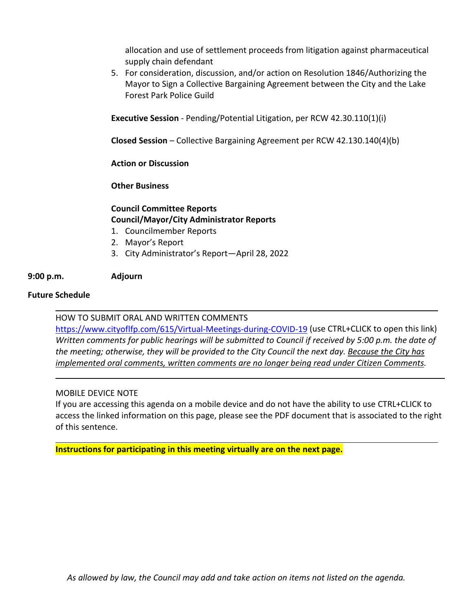allocation and use of settlement proceeds from litigation against pharmaceutical supply chain defendant

5. For consideration, discussion, and/or action on Resolution 1846/Authorizing the Mayor to Sign a Collective Bargaining Agreement between the City and the Lake Forest Park Police Guild

**Executive Session** - Pending/Potential Litigation, per RCW 42.30.110(1)(i)

**Closed Session** – Collective Bargaining Agreement per RCW 42.130.140(4)(b)

**Action or Discussion**

**Other Business**

## **Council Committee Reports Council/Mayor/City Administrator Reports**

- 1. Councilmember Reports
- 2. Mayor's Report
- 3. City Administrator's Report—April 28, 2022

### **9:00 p.m. Adjourn**

#### **Future Schedule**

HOW TO SUBMIT ORAL AND WRITTEN COMMENTS

<https://www.cityoflfp.com/615/Virtual-Meetings-during-COVID-19> (use CTRL+CLICK to open this link) *Written comments for public hearings will be submitted to Council if received by 5:00 p.m. the date of the meeting; otherwise, they will be provided to the City Council the next day. Because the City has implemented oral comments, written comments are no longer being read under Citizen Comments.*

#### MOBILE DEVICE NOTE

If you are accessing this agenda on a mobile device and do not have the ability to use CTRL+CLICK to access the linked information on this page, please see the PDF document that is associated to the right of this sentence.

**Instructions for participating in this meeting virtually are on the next page.**